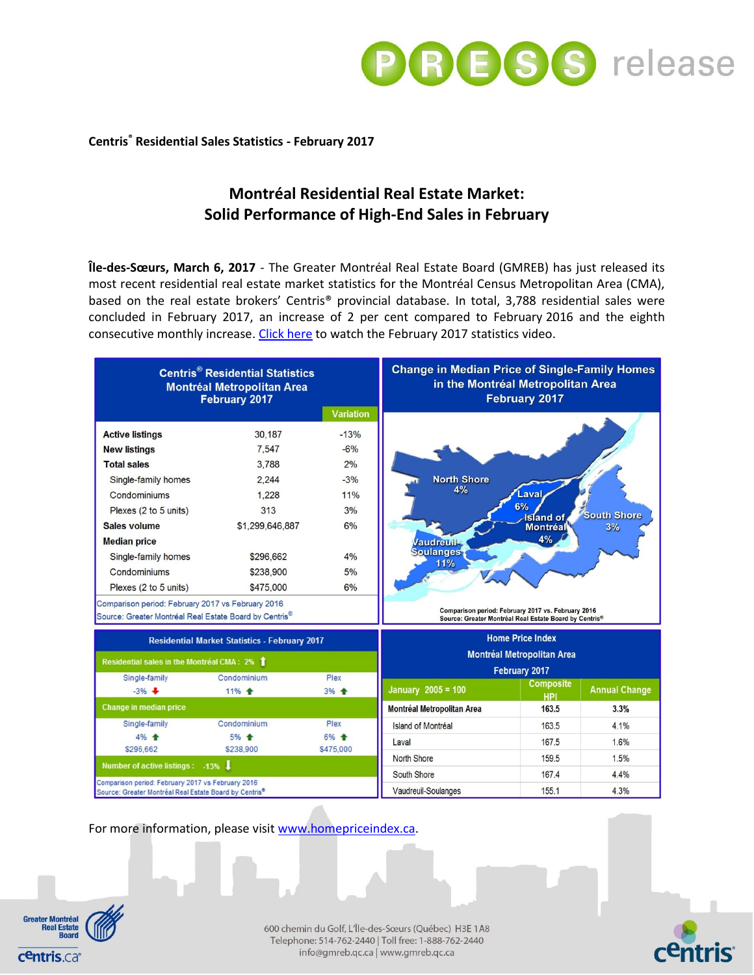

## **Centris® Residential Sales Statistics - February 2017**

# **Montréal Residential Real Estate Market: Solid Performance of High-End Sales in February**

**Île-des-Sœurs, March 6, 2017** - The Greater Montréal Real Estate Board (GMREB) has just released its most recent residential real estate market statistics for the Montréal Census Metropolitan Area (CMA), based on the real estate brokers' Centris® provincial database. In total, 3,788 residential sales were concluded in February 2017, an increase of 2 per cent compared to February 2016 and the eighth consecutive monthly increase. [Click here](https://youtu.be/zf8T7bGQ3_w) to watch the February 2017 statistics video.

| <b>Centris<sup>®</sup> Residential Statistics</b><br><b>Montréal Metropolitan Area</b><br><b>February 2017</b>          |                 |                  | <b>Change in Median Price of Single-Family Homes</b><br>in the Montréal Metropolitan Area<br><b>February 2017</b> |                                                                                                              |                      |
|-------------------------------------------------------------------------------------------------------------------------|-----------------|------------------|-------------------------------------------------------------------------------------------------------------------|--------------------------------------------------------------------------------------------------------------|----------------------|
|                                                                                                                         |                 | <b>Variation</b> |                                                                                                                   |                                                                                                              |                      |
| <b>Active listings</b>                                                                                                  | 30,187          | $-13%$           |                                                                                                                   |                                                                                                              |                      |
| <b>New listings</b>                                                                                                     | 7.547           | $-6%$            |                                                                                                                   |                                                                                                              |                      |
| <b>Total sales</b>                                                                                                      | 3.788           | 2%               |                                                                                                                   |                                                                                                              |                      |
| Single-family homes                                                                                                     | 2.244           | $-3%$            | <b>North Shore</b>                                                                                                |                                                                                                              |                      |
| Condominiums                                                                                                            | 1.228           | 11%              | 4%<br>.aval<br>6%<br><b>South Shore</b><br><b>Island</b> of                                                       |                                                                                                              |                      |
| Plexes (2 to 5 units)                                                                                                   | 313             | 3%               |                                                                                                                   |                                                                                                              |                      |
| <b>Sales volume</b>                                                                                                     | \$1,299,646,887 | 6%               |                                                                                                                   | Montréal                                                                                                     | 3%                   |
| <b>Median price</b>                                                                                                     |                 |                  | <b>Vaudreuil-</b>                                                                                                 | 4%                                                                                                           |                      |
| Single-family homes                                                                                                     | \$296,662       | 4%               | <b>Soulanges</b><br>11%                                                                                           |                                                                                                              |                      |
| Condominiums                                                                                                            | \$238.900       | 5%               |                                                                                                                   |                                                                                                              |                      |
| Plexes (2 to 5 units)                                                                                                   | \$475,000       | 6%               |                                                                                                                   |                                                                                                              |                      |
| Comparison period: February 2017 vs February 2016                                                                       |                 |                  |                                                                                                                   |                                                                                                              |                      |
| Source: Greater Montréal Real Estate Board by Centris®                                                                  |                 |                  |                                                                                                                   | Comparison period: February 2017 vs. February 2016<br>Source: Greater Montréal Real Estate Board by Centris® |                      |
| <b>Residential Market Statistics - February 2017</b>                                                                    |                 |                  | <b>Home Price Index</b><br><b>Montréal Metropolitan Area</b>                                                      |                                                                                                              |                      |
| Residential sales in the Montréal CMA: 2%                                                                               |                 |                  |                                                                                                                   |                                                                                                              |                      |
| Plex<br>Single-family<br>Condominium                                                                                    |                 |                  | February 2017                                                                                                     |                                                                                                              |                      |
| $-3%$                                                                                                                   | 11% +           | 3% +             | <b>January 2005 = 100</b>                                                                                         | <b>Composite</b><br>HPI                                                                                      | <b>Annual Change</b> |
| <b>Change in median price</b>                                                                                           |                 |                  | <b>Montréal Metropolitan Area</b>                                                                                 | 163.5                                                                                                        | 3.3%                 |
| Single-family                                                                                                           | Condominium     | Plex             | Island of Montréal                                                                                                | 163.5                                                                                                        | 4.1%                 |
| 4% 全                                                                                                                    | 5% 全            | 6% 全             | Laval                                                                                                             | 167.5                                                                                                        | 1.6%                 |
| \$296,662                                                                                                               | \$238,900       | \$475,000        | North Shore                                                                                                       | 159.5                                                                                                        | 1.5%                 |
| Number of active listings: -13%                                                                                         |                 |                  | South Shore                                                                                                       | 167.4                                                                                                        | 4.4%                 |
| Comparison period: February 2017 vs February 2016<br>Source: Greater Montréal Real Estate Board by Centris <sup>®</sup> |                 |                  | Vaudreuil-Soulanges                                                                                               | 155.1                                                                                                        | 4.3%                 |
|                                                                                                                         |                 |                  |                                                                                                                   |                                                                                                              |                      |

For more information, please visi[t www.homepriceindex.ca.](http://www.homepriceindex.ca/)



600 chemin du Golf, L'Île-des-Sœurs (Québec) H3E 1A8 Telephone: 514-762-2440 | Toll free: 1-888-762-2440 info@gmreb.qc.ca | www.gmreb.qc.ca

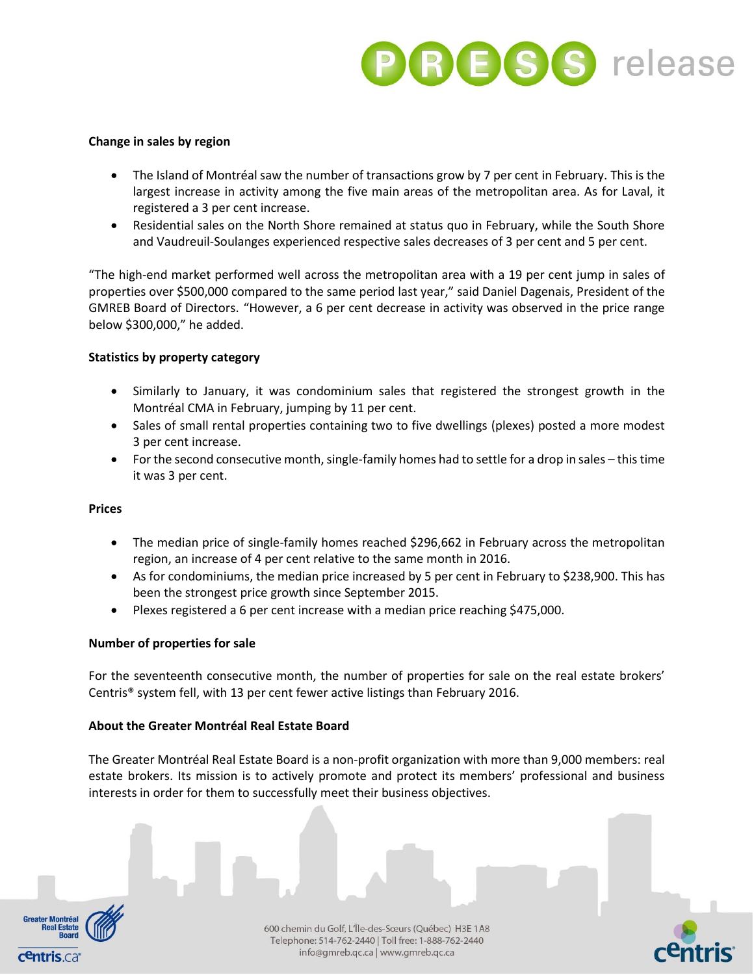

#### **Change in sales by region**

- The Island of Montréal saw the number of transactions grow by 7 per cent in February. This is the largest increase in activity among the five main areas of the metropolitan area. As for Laval, it registered a 3 per cent increase.
- Residential sales on the North Shore remained at status quo in February, while the South Shore and Vaudreuil-Soulanges experienced respective sales decreases of 3 per cent and 5 per cent.

"The high-end market performed well across the metropolitan area with a 19 per cent jump in sales of properties over \$500,000 compared to the same period last year," said Daniel Dagenais, President of the GMREB Board of Directors. "However, a 6 per cent decrease in activity was observed in the price range below \$300,000," he added.

### **Statistics by property category**

- Similarly to January, it was condominium sales that registered the strongest growth in the Montréal CMA in February, jumping by 11 per cent.
- Sales of small rental properties containing two to five dwellings (plexes) posted a more modest 3 per cent increase.
- For the second consecutive month, single-family homes had to settle for a drop in sales this time it was 3 per cent.

### **Prices**

- The median price of single-family homes reached \$296,662 in February across the metropolitan region, an increase of 4 per cent relative to the same month in 2016.
- As for condominiums, the median price increased by 5 per cent in February to \$238,900. This has been the strongest price growth since September 2015.
- Plexes registered a 6 per cent increase with a median price reaching \$475,000.

## **Number of properties for sale**

For the seventeenth consecutive month, the number of properties for sale on the real estate brokers' Centris® system fell, with 13 per cent fewer active listings than February 2016.

#### **About the Greater Montréal Real Estate Board**

The Greater Montréal Real Estate Board is a non-profit organization with more than 9,000 members: real estate brokers. Its mission is to actively promote and protect its members' professional and business interests in order for them to successfully meet their business objectives.



600 chemin du Golf, L'Île-des-Sœurs (Québec) H3E 1A8 Telephone: 514-762-2440 | Toll free: 1-888-762-2440 info@gmreb.qc.ca | www.gmreb.qc.ca